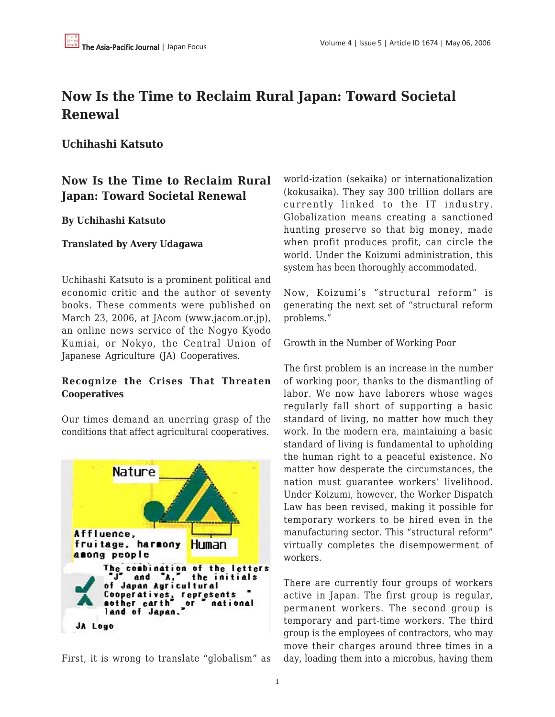# **Now Is the Time to Reclaim Rural Japan: Toward Societal Renewal**

**Uchihashi Katsuto**

## **Now Is the Time to Reclaim Rural Japan: Toward Societal Renewal**

### **By Uchihashi Katsuto**

### **Translated by Avery Udagawa**

Uchihashi Katsuto is a prominent political and economic critic and the author of seventy books. These comments were published on March 23, 2006, at JAcom (www.jacom.or.jp), an online news service of the Nogyo Kyodo Kumiai, or Nokyo, the Central Union of Japanese Agriculture (JA) Cooperatives.

## **Recognize the Crises That Threaten Cooperatives**

Our times demand an unerring grasp of the conditions that affect agricultural cooperatives.



First, it is wrong to translate "globalism" as

world-ization (sekaika) or internationalization (kokusaika). They say 300 trillion dollars are currently linked to the IT industry. Globalization means creating a sanctioned hunting preserve so that big money, made when profit produces profit, can circle the world. Under the Koizumi administration, this system has been thoroughly accommodated.

Now, Koizumi's "structural reform" is generating the next set of "structural reform problems."

Growth in the Number of Working Poor

The first problem is an increase in the number of working poor, thanks to the dismantling of labor. We now have laborers whose wages regularly fall short of supporting a basic standard of living, no matter how much they work. In the modern era, maintaining a basic standard of living is fundamental to upholding the human right to a peaceful existence. No matter how desperate the circumstances, the nation must guarantee workers' livelihood. Under Koizumi, however, the Worker Dispatch Law has been revised, making it possible for temporary workers to be hired even in the manufacturing sector. This "structural reform" virtually completes the disempowerment of workers.

There are currently four groups of workers active in Japan. The first group is regular, permanent workers. The second group is temporary and part-time workers. The third group is the employees of contractors, who may move their charges around three times in a day, loading them into a microbus, having them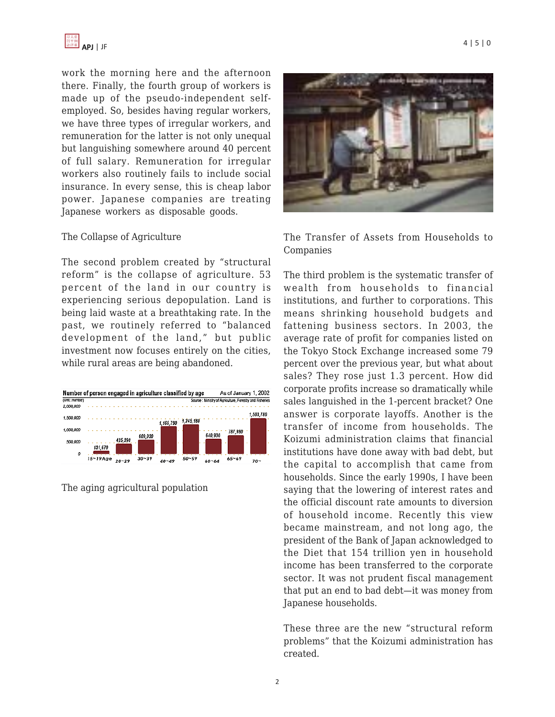

work the morning here and the afternoon there. Finally, the fourth group of workers is made up of the pseudo-independent selfemployed. So, besides having regular workers, we have three types of irregular workers, and remuneration for the latter is not only unequal but languishing somewhere around 40 percent of full salary. Remuneration for irregular workers also routinely fails to include social insurance. In every sense, this is cheap labor power. Japanese companies are treating Japanese workers as disposable goods.

#### The Collapse of Agriculture

The second problem created by "structural reform" is the collapse of agriculture. 53 percent of the land in our country is experiencing serious depopulation. Land is being laid waste at a breathtaking rate. In the past, we routinely referred to "balanced development of the land," but public investment now focuses entirely on the cities, while rural areas are being abandoned.

| Number of person engaged in agriculture classified by age |                               |           |           |           |          | As of January 1, 2002                                    |           |  |
|-----------------------------------------------------------|-------------------------------|-----------|-----------|-----------|----------|----------------------------------------------------------|-----------|--|
| (Unit: number)                                            |                               |           |           |           |          | Source : Ministry of Agriculture, Forestry and Fisheries |           |  |
| 2,000,000                                                 |                               |           |           |           |          |                                                          |           |  |
| 1,500,000                                                 |                               |           |           |           |          |                                                          | 1,503,780 |  |
|                                                           |                               |           | 1,165,790 | 1,245,180 |          |                                                          |           |  |
| 1.000.000                                                 |                               |           |           |           |          | 787,980                                                  |           |  |
|                                                           | 425,390                       | 609,030   |           |           | 640,930  |                                                          |           |  |
| 500,000                                                   | 131,670                       |           |           |           |          |                                                          |           |  |
| 0                                                         |                               |           |           |           |          |                                                          |           |  |
|                                                           | $15 - 19$ Age<br><b>00.00</b> | $30 - 39$ | $\cdots$  | $50 - 59$ | $\cdots$ | $65 - 69$                                                | . .       |  |

The aging agricultural population



The Transfer of Assets from Households to Companies

The third problem is the systematic transfer of wealth from households to financial institutions, and further to corporations. This means shrinking household budgets and fattening business sectors. In 2003, the average rate of profit for companies listed on the Tokyo Stock Exchange increased some 79 percent over the previous year, but what about sales? They rose just 1.3 percent. How did corporate profits increase so dramatically while sales languished in the 1-percent bracket? One answer is corporate layoffs. Another is the transfer of income from households. The Koizumi administration claims that financial institutions have done away with bad debt, but the capital to accomplish that came from households. Since the early 1990s, I have been saying that the lowering of interest rates and the official discount rate amounts to diversion of household income. Recently this view became mainstream, and not long ago, the president of the Bank of Japan acknowledged to the Diet that 154 trillion yen in household income has been transferred to the corporate sector. It was not prudent fiscal management that put an end to bad debt—it was money from Japanese households.

These three are the new "structural reform problems" that the Koizumi administration has created.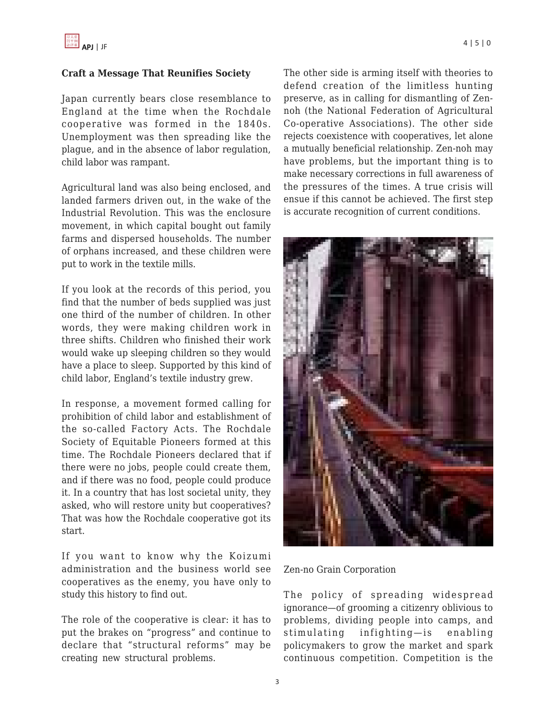#### **Craft a Message That Reunifies Society**

Japan currently bears close resemblance to England at the time when the Rochdale cooperative was formed in the 1840s. Unemployment was then spreading like the plague, and in the absence of labor regulation, child labor was rampant.

Agricultural land was also being enclosed, and landed farmers driven out, in the wake of the Industrial Revolution. This was the enclosure movement, in which capital bought out family farms and dispersed households. The number of orphans increased, and these children were put to work in the textile mills.

If you look at the records of this period, you find that the number of beds supplied was just one third of the number of children. In other words, they were making children work in three shifts. Children who finished their work would wake up sleeping children so they would have a place to sleep. Supported by this kind of child labor, England's textile industry grew.

In response, a movement formed calling for prohibition of child labor and establishment of the so-called Factory Acts. The Rochdale Society of Equitable Pioneers formed at this time. The Rochdale Pioneers declared that if there were no jobs, people could create them, and if there was no food, people could produce it. In a country that has lost societal unity, they asked, who will restore unity but cooperatives? That was how the Rochdale cooperative got its start.

If you want to know why the Koizumi administration and the business world see cooperatives as the enemy, you have only to study this history to find out.

The role of the cooperative is clear: it has to put the brakes on "progress" and continue to declare that "structural reforms" may be creating new structural problems.

The other side is arming itself with theories to defend creation of the limitless hunting preserve, as in calling for dismantling of Zennoh (the National Federation of Agricultural Co-operative Associations). The other side rejects coexistence with cooperatives, let alone a mutually beneficial relationship. Zen-noh may have problems, but the important thing is to make necessary corrections in full awareness of the pressures of the times. A true crisis will ensue if this cannot be achieved. The first step is accurate recognition of current conditions.



Zen-no Grain Corporation

The policy of spreading widespread ignorance—of grooming a citizenry oblivious to problems, dividing people into camps, and stimulating infighting—is enabling policymakers to grow the market and spark continuous competition. Competition is the